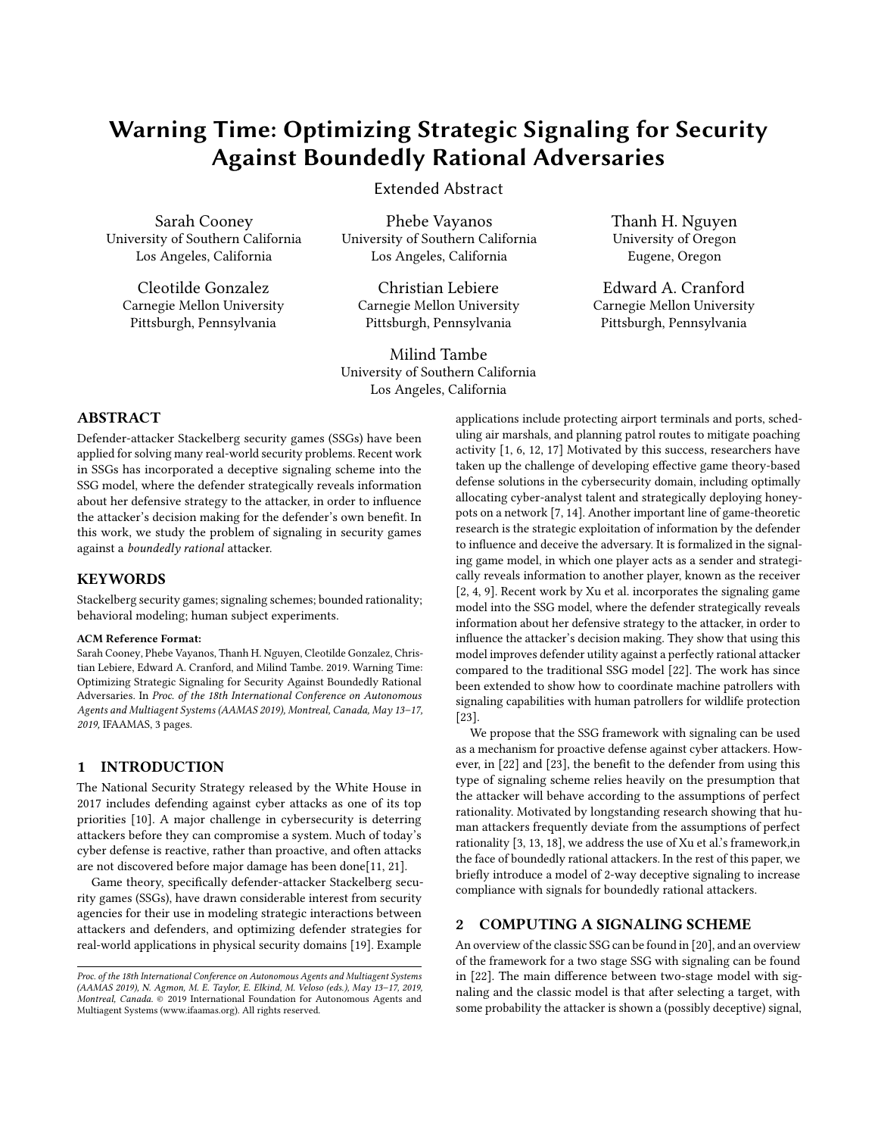# Warning Time: Optimizing Strategic Signaling for Security Against Boundedly Rational Adversaries

Extended Abstract

Sarah Cooney University of Southern California Los Angeles, California

Cleotilde Gonzalez Carnegie Mellon University Pittsburgh, Pennsylvania

Phebe Vayanos University of Southern California Los Angeles, California

Christian Lebiere Carnegie Mellon University Pittsburgh, Pennsylvania

Milind Tambe University of Southern California Los Angeles, California

Thanh H. Nguyen University of Oregon Eugene, Oregon

Edward A. Cranford Carnegie Mellon University Pittsburgh, Pennsylvania

# ABSTRACT

Defender-attacker Stackelberg security games (SSGs) have been applied for solving many real-world security problems. Recent work in SSGs has incorporated a deceptive signaling scheme into the SSG model, where the defender strategically reveals information about her defensive strategy to the attacker, in order to influence the attacker's decision making for the defender's own benefit. In this work, we study the problem of signaling in security games against a boundedly rational attacker.

#### **KEYWORDS**

Stackelberg security games; signaling schemes; bounded rationality; behavioral modeling; human subject experiments.

#### ACM Reference Format:

Sarah Cooney, Phebe Vayanos, Thanh H. Nguyen, Cleotilde Gonzalez, Christian Lebiere, Edward A. Cranford, and Milind Tambe. 2019. Warning Time: Optimizing Strategic Signaling for Security Against Boundedly Rational Adversaries. In Proc. of the 18th International Conference on Autonomous Agents and Multiagent Systems (AAMAS 2019), Montreal, Canada, May 13–17, 2019, IFAAMAS, [3](#page-2-0) pages.

#### 1 INTRODUCTION

The National Security Strategy released by the White House in 2017 includes defending against cyber attacks as one of its top priorities [\[10\]](#page-1-0). A major challenge in cybersecurity is deterring attackers before they can compromise a system. Much of today's cyber defense is reactive, rather than proactive, and often attacks are not discovered before major damage has been done[\[11,](#page-1-1) [21\]](#page-2-1).

Game theory, specifically defender-attacker Stackelberg security games (SSGs), have drawn considerable interest from security agencies for their use in modeling strategic interactions between attackers and defenders, and optimizing defender strategies for real-world applications in physical security domains [\[19\]](#page-2-2). Example

applications include protecting airport terminals and ports, scheduling air marshals, and planning patrol routes to mitigate poaching activity [\[1,](#page-1-2) [6,](#page-1-3) [12,](#page-1-4) [17\]](#page-2-3) Motivated by this success, researchers have taken up the challenge of developing effective game theory-based defense solutions in the cybersecurity domain, including optimally allocating cyber-analyst talent and strategically deploying honeypots on a network [\[7,](#page-1-5) [14\]](#page-2-4). Another important line of game-theoretic research is the strategic exploitation of information by the defender to influence and deceive the adversary. It is formalized in the signaling game model, in which one player acts as a sender and strategically reveals information to another player, known as the receiver [\[2,](#page-1-6) [4,](#page-1-7) [9\]](#page-1-8). Recent work by Xu et al. incorporates the signaling game model into the SSG model, where the defender strategically reveals information about her defensive strategy to the attacker, in order to influence the attacker's decision making. They show that using this model improves defender utility against a perfectly rational attacker compared to the traditional SSG model [\[22\]](#page-2-5). The work has since been extended to show how to coordinate machine patrollers with signaling capabilities with human patrollers for wildlife protection [\[23\]](#page-2-6).

We propose that the SSG framework with signaling can be used as a mechanism for proactive defense against cyber attackers. How-ever, in [\[22\]](#page-2-5) and [\[23\]](#page-2-6), the benefit to the defender from using this type of signaling scheme relies heavily on the presumption that the attacker will behave according to the assumptions of perfect rationality. Motivated by longstanding research showing that human attackers frequently deviate from the assumptions of perfect rationality [\[3,](#page-1-9) [13,](#page-1-10) [18\]](#page-2-7), we address the use of Xu et al.'s framework,in the face of boundedly rational attackers. In the rest of this paper, we briefly introduce a model of 2-way deceptive signaling to increase compliance with signals for boundedly rational attackers.

## 2 COMPUTING A SIGNALING SCHEME

An overview of the classic SSG can be found in [\[20\]](#page-2-8), and an overview of the framework for a two stage SSG with signaling can be found in [\[22\]](#page-2-5). The main difference between two-stage model with signaling and the classic model is that after selecting a target, with some probability the attacker is shown a (possibly deceptive) signal,

Proc. of the 18th International Conference on Autonomous Agents and Multiagent Systems (AAMAS 2019), N. Agmon, M. E. Taylor, E. Elkind, M. Veloso (eds.), May 13–17, 2019, Montreal, Canada. © 2019 International Foundation for Autonomous Agents and Multiagent Systems (www.ifaamas.org). All rights reserved.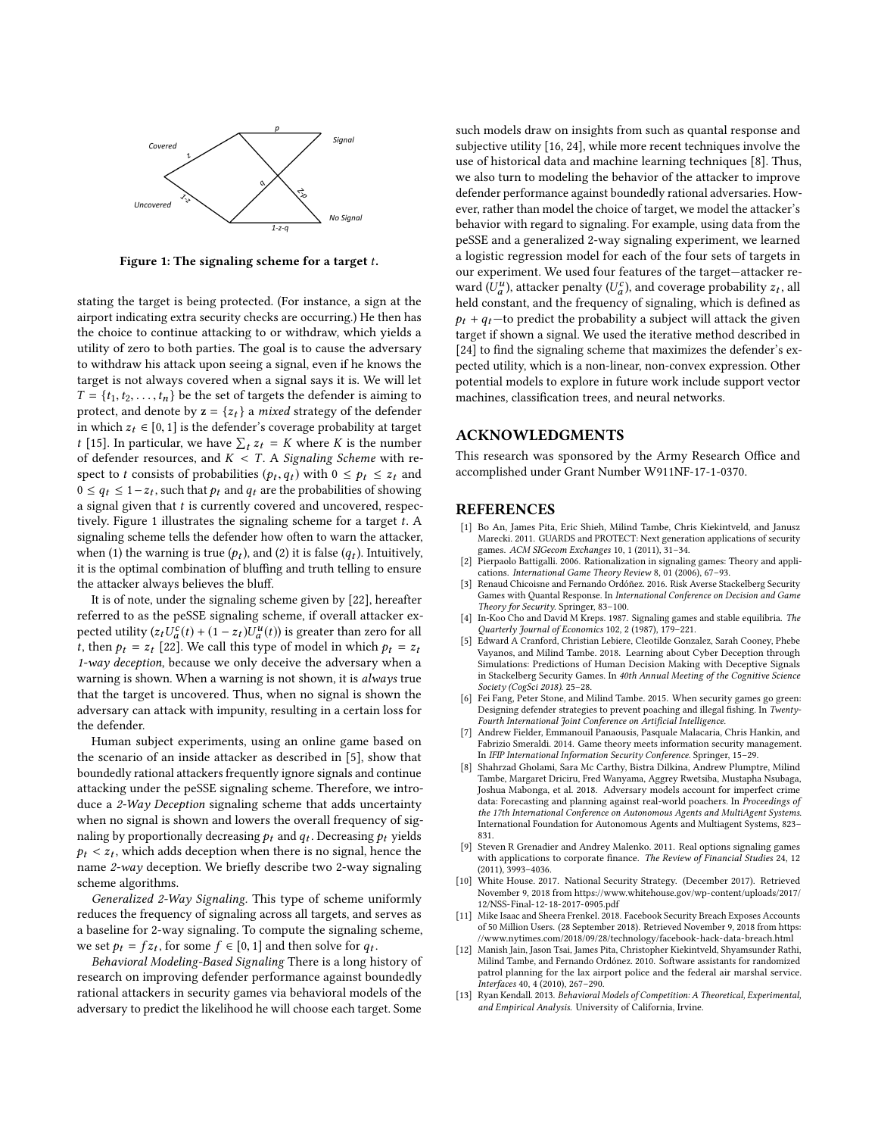<span id="page-1-11"></span>

Figure 1: The signaling scheme for a target  $t$ .

stating the target is being protected. (For instance, a sign at the airport indicating extra security checks are occurring.) He then has the choice to continue attacking to or withdraw, which yields a utility of zero to both parties. The goal is to cause the adversary to withdraw his attack upon seeing a signal, even if he knows the target is not always covered when a signal says it is. We will let  $T = \{t_1, t_2, \ldots, t_n\}$  be the set of targets the defender is aiming to protect, and denote by  $z = \{z_t\}$  a *mixed* strategy of the defender in which  $z_t \in [0, 1]$  is the defender's coverage probability at target *t* [\[15\]](#page-2-9). In particular, we have  $\sum_t z_t = K$  where *K* is the number of defender resources, and  $K < T$ . A Signaling Scheme with respect to t consists of probabilities  $(p_t, q_t)$  with  $0 \le p_t \le z_t$  and  $0 \le a_t \le 1-z_t$ , such that  $p_t$  and  $q_t$  are the probabilities of showing  $0 \le q_t \le 1-z_t$ , such that  $p_t$  and  $q_t$  are the probabilities of showing a signal given that  $t$  is currently covered and uncovered, respec-tively. Figure [1](#page-1-11) illustrates the signaling scheme for a target  $t$ . A signaling scheme tells the defender how often to warn the attacker, when (1) the warning is true  $(p_t)$ , and (2) it is false  $(q_t)$ . Intuitively, it is the optimal combination of bluffing and truth telling to ensure the attacker always believes the bluff.

It is of note, under the signaling scheme given by [\[22\]](#page-2-5), hereafter referred to as the peSSE signaling scheme, if overall attacker expected utility  $(z_t U_a^c(t) + (1 - z_t)U_a^u(t))$  is greater than zero for all t, then  $p_t = z_t$  [\[22\]](#page-2-5). We call this type of model in which  $p_t = z_t$ 1-way deception, because we only deceive the adversary when a warning is shown. When a warning is not shown, it is always true that the target is uncovered. Thus, when no signal is shown the adversary can attack with impunity, resulting in a certain loss for the defender.

Human subject experiments, using an online game based on the scenario of an inside attacker as described in [\[5\]](#page-1-12), show that boundedly rational attackers frequently ignore signals and continue attacking under the peSSE signaling scheme. Therefore, we introduce a 2-Way Deception signaling scheme that adds uncertainty when no signal is shown and lowers the overall frequency of signaling by proportionally decreasing  $p_t$  and  $q_t$ . Decreasing  $p_t$  yields  $p_t < z_t$ , which adds deception when there is no signal, hence the name  $2\pi u$  deception. We briefly describe two  $2\pi v$  signaling name 2-way deception. We briefly describe two 2-way signaling scheme algorithms.

Generalized 2-Way Signaling. This type of scheme uniformly reduces the frequency of signaling across all targets, and serves as a baseline for 2-way signaling. To compute the signaling scheme, we set  $p_t = fz_t$ , for some  $f \in [0, 1]$  and then solve for  $q_t$ .<br> *Rehavioral Modeling-Rased Signaling There is a long h* 

Behavioral Modeling-Based Signaling There is a long history of research on improving defender performance against boundedly rational attackers in security games via behavioral models of the adversary to predict the likelihood he will choose each target. Some

such models draw on insights from such as quantal response and subjective utility [\[16,](#page-2-10) [24\]](#page-2-11), while more recent techniques involve the use of historical data and machine learning techniques [\[8\]](#page-1-13). Thus, we also turn to modeling the behavior of the attacker to improve defender performance against boundedly rational adversaries. However, rather than model the choice of target, we model the attacker's behavior with regard to signaling. For example, using data from the peSSE and a generalized 2-way signaling experiment, we learned a logistic regression model for each of the four sets of targets in our experiment. We used four features of the target—attacker reward  $(U_a^u)$ , attacker penalty  $(U_a^c)$ , and coverage probability  $z_t$ , all held constant, and the frequency of signaling, which is defined as  $p_t + q_t$ —to predict the probability a subject will attack the given target if shown a signal. We used the iterative method described in  $[24]$  to find the signaling scheme that maximizes the defender's expected utility, which is a non-linear, non-convex expression. Other potential models to explore in future work include support vector machines, classification trees, and neural networks.

### ACKNOWLEDGMENTS

This research was sponsored by the Army Research Office and accomplished under Grant Number W911NF-17-1-0370.

### REFERENCES

- <span id="page-1-2"></span>[1] Bo An, James Pita, Eric Shieh, Milind Tambe, Chris Kiekintveld, and Janusz Marecki. 2011. GUARDS and PROTECT: Next generation applications of security games. ACM SIGecom Exchanges 10, 1 (2011), 31–34.
- <span id="page-1-6"></span>[2] Pierpaolo Battigalli. 2006. Rationalization in signaling games: Theory and applications. International Game Theory Review 8, 01 (2006), 67–93.
- <span id="page-1-9"></span>[3] Renaud Chicoisne and Fernando Ordóñez. 2016. Risk Averse Stackelberg Security Games with Quantal Response. In International Conference on Decision and Game Theory for Security. Springer, 83–100.
- <span id="page-1-7"></span>[4] In-Koo Cho and David M Kreps. 1987. Signaling games and stable equilibria. The Quarterly Journal of Economics 102, 2 (1987), 179–221.
- <span id="page-1-12"></span>[5] Edward A Cranford, Christian Lebiere, Cleotilde Gonzalez, Sarah Cooney, Phebe Vayanos, and Milind Tambe. 2018. Learning about Cyber Deception through Simulations: Predictions of Human Decision Making with Deceptive Signals in Stackelberg Security Games. In 40th Annual Meeting of the Cognitive Science Society (CogSci 2018). 25–28.
- <span id="page-1-3"></span>[6] Fei Fang, Peter Stone, and Milind Tambe. 2015. When security games go green: Designing defender strategies to prevent poaching and illegal fishing. In Twenty-Fourth International Joint Conference on Artificial Intelligence.
- <span id="page-1-5"></span>[7] Andrew Fielder, Emmanouil Panaousis, Pasquale Malacaria, Chris Hankin, and Fabrizio Smeraldi. 2014. Game theory meets information security management. In IFIP International Information Security Conference. Springer, 15–29.
- <span id="page-1-13"></span>[8] Shahrzad Gholami, Sara Mc Carthy, Bistra Dilkina, Andrew Plumptre, Milind Tambe, Margaret Driciru, Fred Wanyama, Aggrey Rwetsiba, Mustapha Nsubaga, Joshua Mabonga, et al. 2018. Adversary models account for imperfect crime data: Forecasting and planning against real-world poachers. In Proceedings of the 17th International Conference on Autonomous Agents and MultiAgent Systems. International Foundation for Autonomous Agents and Multiagent Systems, 823– 831.
- <span id="page-1-8"></span>[9] Steven R Grenadier and Andrey Malenko. 2011. Real options signaling games with applications to corporate finance. The Review of Financial Studies 24, 12 (2011), 3993–4036.
- <span id="page-1-0"></span>[10] White House. 2017. National Security Strategy. (December 2017). Retrieved November 9, 2018 from [https://www.whitehouse.gov/wp-content/uploads/2017/](https://www.whitehouse.gov/wp-content/uploads/2017/12/NSS-Final-12-18-2017-0905.pdf) [12/NSS-Final-12-18-2017-0905.pdf](https://www.whitehouse.gov/wp-content/uploads/2017/12/NSS-Final-12-18-2017-0905.pdf)
- <span id="page-1-1"></span>[11] Mike Isaac and Sheera Frenkel. 2018. Facebook Security Breach Exposes Accounts of 50 Million Users. (28 September 2018). Retrieved November 9, 2018 from [https:](https://www.nytimes.com/2018/09/28/technology/facebook-hack-data-breach.html) [//www.nytimes.com/2018/09/28/technology/facebook-hack-data-breach.html](https://www.nytimes.com/2018/09/28/technology/facebook-hack-data-breach.html)
- <span id="page-1-4"></span>[12] Manish Jain, Jason Tsai, James Pita, Christopher Kiekintveld, Shyamsunder Rathi, Milind Tambe, and Fernando Ordónez. 2010. Software assistants for randomized patrol planning for the lax airport police and the federal air marshal service. Interfaces 40, 4 (2010), 267–290.
- <span id="page-1-10"></span>[13] Ryan Kendall. 2013. Behavioral Models of Competition: A Theoretical, Experimental, and Empirical Analysis. University of California, Irvine.